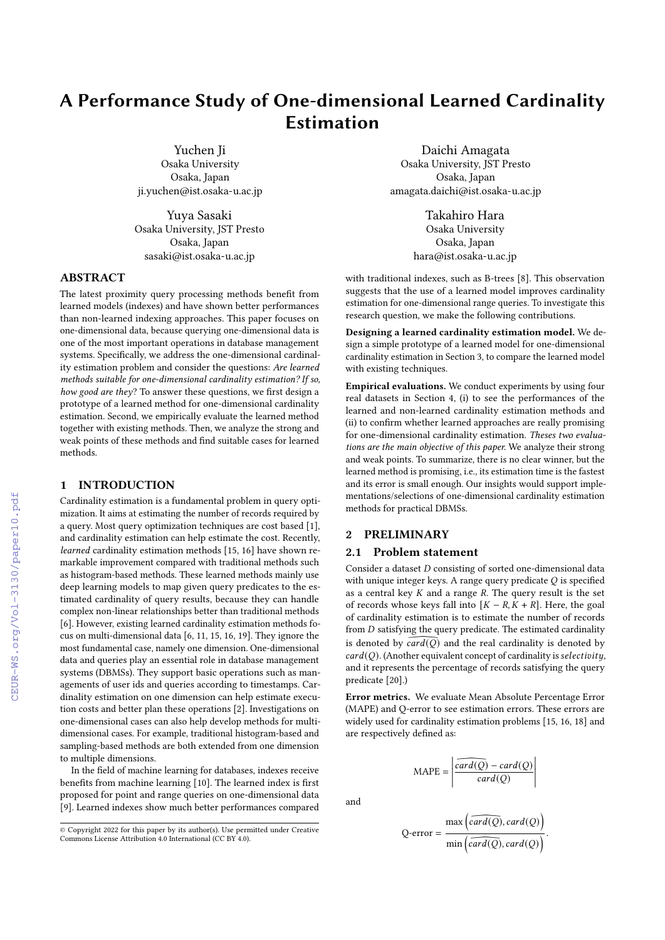# A Performance Study of One-dimensional Learned Cardinality Estimation

Yuchen Ji

Osaka University Osaka, Japan ji.yuchen@ist.osaka-u.ac.jp

Yuya Sasaki Osaka University, JST Presto Osaka, Japan sasaki@ist.osaka-u.ac.jp

# ABSTRACT

The latest proximity query processing methods benefit from learned models (indexes) and have shown better performances than non-learned indexing approaches. This paper focuses on one-dimensional data, because querying one-dimensional data is one of the most important operations in database management systems. Specifically, we address the one-dimensional cardinality estimation problem and consider the questions: Are learned methods suitable for one-dimensional cardinality estimation? If so, how good are they? To answer these questions, we first design a prototype of a learned method for one-dimensional cardinality estimation. Second, we empirically evaluate the learned method together with existing methods. Then, we analyze the strong and weak points of these methods and find suitable cases for learned methods.

## 1 INTRODUCTION

Cardinality estimation is a fundamental problem in query optimization. It aims at estimating the number of records required by a query. Most query optimization techniques are cost based [\[1\]](#page--1-0), and cardinality estimation can help estimate the cost. Recently, learned cardinality estimation methods [\[15,](#page--1-1) [16\]](#page--1-2) have shown remarkable improvement compared with traditional methods such as histogram-based methods. These learned methods mainly use deep learning models to map given query predicates to the estimated cardinality of query results, because they can handle complex non-linear relationships better than traditional methods [\[6\]](#page--1-3). However, existing learned cardinality estimation methods focus on multi-dimensional data [\[6,](#page--1-3) [11,](#page--1-4) [15,](#page--1-1) [16,](#page--1-2) [19\]](#page--1-5). They ignore the most fundamental case, namely one dimension. One-dimensional data and queries play an essential role in database management systems (DBMSs). They support basic operations such as managements of user ids and queries according to timestamps. Cardinality estimation on one dimension can help estimate execution costs and better plan these operations [\[2\]](#page--1-6). Investigations on one-dimensional cases can also help develop methods for multidimensional cases. For example, traditional histogram-based and sampling-based methods are both extended from one dimension to multiple dimensions.

In the field of machine learning for databases, indexes receive benefits from machine learning [\[10\]](#page--1-7). The learned index is first proposed for point and range queries on one-dimensional data [\[9\]](#page--1-8). Learned indexes show much better performances compared

Daichi Amagata Osaka University, JST Presto Osaka, Japan amagata.daichi@ist.osaka-u.ac.jp

> Takahiro Hara Osaka University Osaka, Japan hara@ist.osaka-u.ac.jp

with traditional indexes, such as B-trees [\[8\]](#page--1-9). This observation suggests that the use of a learned model improves cardinality estimation for one-dimensional range queries. To investigate this research question, we make the following contributions.

Designing a learned cardinality estimation model. We design a simple prototype of a learned model for one-dimensional cardinality estimation in Section [3,](#page--1-10) to compare the learned model with existing techniques.

Empirical evaluations. We conduct experiments by using four real datasets in Section [4,](#page--1-11) (i) to see the performances of the learned and non-learned cardinality estimation methods and (ii) to confirm whether learned approaches are really promising for one-dimensional cardinality estimation. Theses two evaluations are the main objective of this paper. We analyze their strong and weak points. To summarize, there is no clear winner, but the learned method is promising, i.e., its estimation time is the fastest and its error is small enough. Our insights would support implementations/selections of one-dimensional cardinality estimation methods for practical DBMSs.

# 2 PRELIMINARY

#### 2.1 Problem statement

Consider a dataset  $D$  consisting of sorted one-dimensional data with unique integer keys. A range query predicate  $Q$  is specified as a central key  $K$  and a range  $R$ . The query result is the set of records whose keys fall into  $[K - R, K + R]$ . Here, the goal of cardinality estimation is to estimate the number of records from  $D$  satisfying the query predicate. The estimated cardinality is denoted by  $\widehat{card(O)}$  and the real cardinality is denoted by  $card(Q)$ . (Another equivalent concept of cardinality is selectivity, and it represents the percentage of records satisfying the query predicate [\[20\]](#page--1-12).)

Error metrics. We evaluate Mean Absolute Percentage Error (MAPE) and Q-error to see estimation errors. These errors are widely used for cardinality estimation problems [\[15,](#page--1-1) [16,](#page--1-2) [18\]](#page--1-13) and are respectively defined as:

$$
MAPE = \left| \frac{\widehat{card(Q)} - card(Q)}{\widehat{card(Q)}} \right|
$$

 $\backslash$ 

 $\frac{1}{\sqrt{2}}$ .

$$
Q\text{-error} = \frac{\max\left(\widehat{card(Q)}, \widehat{card(Q)}\right)}{\min\left(\widehat{card(Q)}, \widehat{card(Q)}\right)}
$$

and

 $\circ$  Copyright 2022 for this paper by its author(s). Use permitted under Creative Commons License Attribution 4.0 International (CC BY 4.0) ons License Attribution 4.0 International  $(\overrightarrow{CC}$  BY 4.0).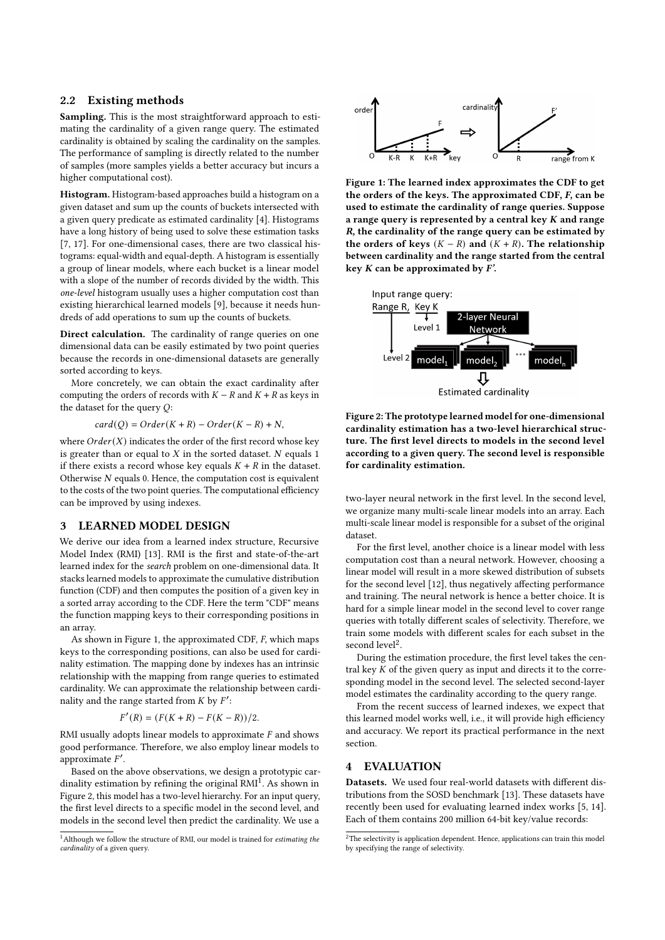### 2.2 Existing methods

Sampling. This is the most straightforward approach to estimating the cardinality of a given range query. The estimated cardinality is obtained by scaling the cardinality on the samples. The performance of sampling is directly related to the number of samples (more samples yields a better accuracy but incurs a higher computational cost).

Histogram. Histogram-based approaches build a histogram on a given dataset and sum up the counts of buckets intersected with a given query predicate as estimated cardinality [\[4\]](#page-4-0). Histograms have a long history of being used to solve these estimation tasks [\[7,](#page-4-1) [17\]](#page-4-2). For one-dimensional cases, there are two classical histograms: equal-width and equal-depth. A histogram is essentially a group of linear models, where each bucket is a linear model with a slope of the number of records divided by the width. This one-level histogram usually uses a higher computation cost than existing hierarchical learned models [\[9\]](#page-4-3), because it needs hundreds of add operations to sum up the counts of buckets.

Direct calculation. The cardinality of range queries on one dimensional data can be easily estimated by two point queries because the records in one-dimensional datasets are generally sorted according to keys.

More concretely, we can obtain the exact cardinality after computing the orders of records with  $K - R$  and  $K + R$  as keys in the dataset for the query  $Q$ :

 $card(Q) = Order(K + R) - Order(K - R) + N,$ 

where  $Order(X)$  indicates the order of the first record whose key is greater than or equal to  $X$  in the sorted dataset.  $N$  equals 1 if there exists a record whose key equals  $K + R$  in the dataset. Otherwise  $N$  equals 0. Hence, the computation cost is equivalent to the costs of the two point queries. The computational efficiency can be improved by using indexes.

#### <span id="page-1-4"></span>3 LEARNED MODEL DESIGN

We derive our idea from a learned index structure, Recursive Model Index (RMI) [\[13\]](#page-4-4). RMI is the first and state-of-the-art learned index for the search problem on one-dimensional data. It stacks learned models to approximate the cumulative distribution function (CDF) and then computes the position of a given key in a sorted array according to the CDF. Here the term "CDF" means the function mapping keys to their corresponding positions in an array.

As shown in Figure [1,](#page-1-0) the approximated CDF,  $F$ , which maps keys to the corresponding positions, can also be used for cardinality estimation. The mapping done by indexes has an intrinsic relationship with the mapping from range queries to estimated cardinality. We can approximate the relationship between cardinality and the range started from  $K$  by  $F'$ :

$$
F'(R) = (F(K+R) - F(K-R))/2.
$$

RMI usually adopts linear models to approximate  $F$  and shows good performance. Therefore, we also employ linear models to approximate  $F'$ .

Based on the above observations, we design a prototypic cardinality estimation by refining the original  $\text{RMI}^{\text{I}}$ . As shown in Figure [2,](#page-1-2) this model has a two-level hierarchy. For an input query, the first level directs to a specific model in the second level, and models in the second level then predict the cardinality. We use a

<span id="page-1-0"></span>

Figure 1: The learned index approximates the CDF to get the orders of the keys. The approximated CDF, F, can be used to estimate the cardinality of range queries. Suppose a range query is represented by a central key  $K$  and range R, the cardinality of the range query can be estimated by the orders of keys  $(K - R)$  and  $(K + R)$ . The relationship between cardinality and the range started from the central key  $K$  can be approximated by  $F'$ .

<span id="page-1-2"></span>



two-layer neural network in the first level. In the second level, we organize many multi-scale linear models into an array. Each multi-scale linear model is responsible for a subset of the original dataset.

For the first level, another choice is a linear model with less computation cost than a neural network. However, choosing a linear model will result in a more skewed distribution of subsets for the second level [\[12\]](#page-4-5), thus negatively affecting performance and training. The neural network is hence a better choice. It is hard for a simple linear model in the second level to cover range queries with totally different scales of selectivity. Therefore, we train some models with different scales for each subset in the second level<sup>[2](#page-1-3)</sup>.

During the estimation procedure, the first level takes the central key  $K$  of the given query as input and directs it to the corresponding model in the second level. The selected second-layer model estimates the cardinality according to the query range.

From the recent success of learned indexes, we expect that this learned model works well, i.e., it will provide high efficiency and accuracy. We report its practical performance in the next section.

## 4 EVALUATION

Datasets. We used four real-world datasets with different distributions from the SOSD benchmark [\[13\]](#page-4-4). These datasets have recently been used for evaluating learned index works [\[5,](#page-4-6) [14\]](#page-4-7). Each of them contains 200 million 64-bit key/value records:

<span id="page-1-1"></span> $^{\rm 1}$  Although we follow the structure of RMI, our model is trained for *estimating the* cardinality of a given query.

<span id="page-1-3"></span> $2$ The selectivity is application dependent. Hence, applications can train this model by specifying the range of selectivity.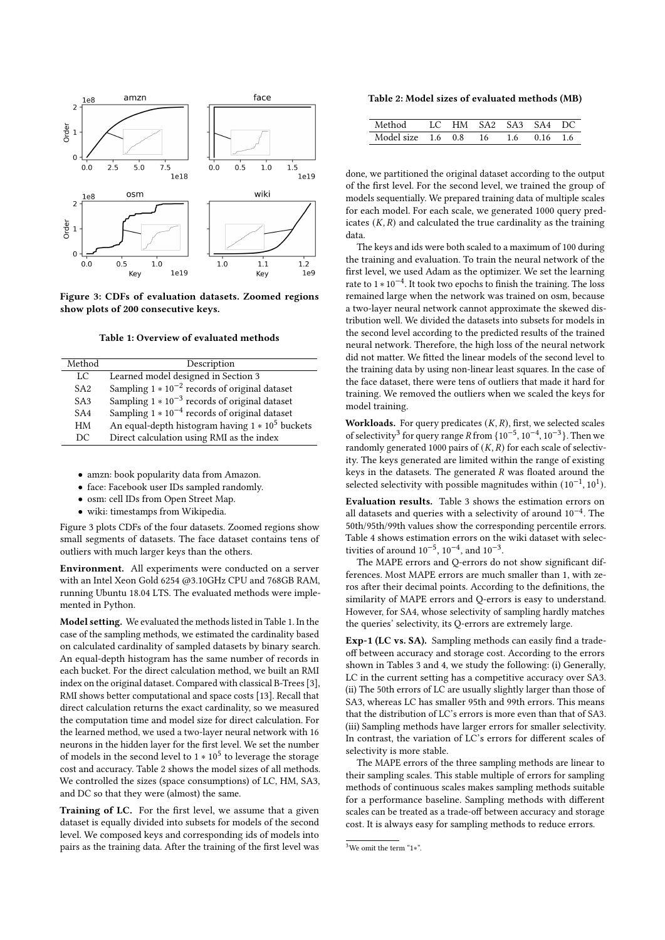<span id="page-2-0"></span>

Figure 3: CDFs of evaluation datasets. Zoomed regions show plots of 200 consecutive keys.

Table 1: Overview of evaluated methods

<span id="page-2-1"></span>

| Method          | Description                                        |
|-----------------|----------------------------------------------------|
| LC              | Learned model designed in Section 3                |
| SA <sub>2</sub> | Sampling $1 * 10^{-2}$ records of original dataset |
| SA <sub>3</sub> | Sampling $1 * 10^{-3}$ records of original dataset |
| SA4             | Sampling $1 * 10^{-4}$ records of original dataset |
| HM              | An equal-depth histogram having $1 * 10^5$ buckets |
| DC              | Direct calculation using RMI as the index          |

- amzn: book popularity data from Amazon.
- face: Facebook user IDs sampled randomly.
- osm: cell IDs from Open Street Map.
- wiki: timestamps from Wikipedia.

Figure [3](#page-2-0) plots CDFs of the four datasets. Zoomed regions show small segments of datasets. The face dataset contains tens of outliers with much larger keys than the others.

Environment. All experiments were conducted on a server with an Intel Xeon Gold 6254 @3.10GHz CPU and 768GB RAM, running Ubuntu 18.04 LTS. The evaluated methods were implemented in Python.

Model setting. We evaluated the methods listed in Table [1.](#page-2-1) In the case of the sampling methods, we estimated the cardinality based on calculated cardinality of sampled datasets by binary search. An equal-depth histogram has the same number of records in each bucket. For the direct calculation method, we built an RMI index on the original dataset. Compared with classical B-Trees [\[3\]](#page-4-8), RMI shows better computational and space costs [\[13\]](#page-4-4). Recall that direct calculation returns the exact cardinality, so we measured the computation time and model size for direct calculation. For the learned method, we used a two-layer neural network with 16 neurons in the hidden layer for the first level. We set the number of models in the second level to  $1 * 10^5$  to leverage the storage cost and accuracy. Table [2](#page-2-2) shows the model sizes of all methods. We controlled the sizes (space consumptions) of LC, HM, SA3, and DC so that they were (almost) the same.

Training of LC. For the first level, we assume that a given dataset is equally divided into subsets for models of the second level. We composed keys and corresponding ids of models into pairs as the training data. After the training of the first level was

<span id="page-2-2"></span>Table 2: Model sizes of evaluated methods (MB)

| Method                     |  |     | LC HM SA2 SA3 SA4 DC |      |  |
|----------------------------|--|-----|----------------------|------|--|
| Model size $1.6 \quad 0.8$ |  | 16. | 1.6                  | 0.16 |  |

done, we partitioned the original dataset according to the output of the first level. For the second level, we trained the group of models sequentially. We prepared training data of multiple scales for each model. For each scale, we generated 1000 query predicates  $(K, R)$  and calculated the true cardinality as the training data.

The keys and ids were both scaled to a maximum of 100 during the training and evaluation. To train the neural network of the first level, we used Adam as the optimizer. We set the learning rate to 1 ∗ 10−<sup>4</sup> . It took two epochs to finish the training. The loss remained large when the network was trained on osm, because a two-layer neural network cannot approximate the skewed distribution well. We divided the datasets into subsets for models in the second level according to the predicted results of the trained neural network. Therefore, the high loss of the neural network did not matter. We fitted the linear models of the second level to the training data by using non-linear least squares. In the case of the face dataset, there were tens of outliers that made it hard for training. We removed the outliers when we scaled the keys for model training.

Workloads. For query predicates  $(K, R)$ , first, we selected scales of selectivity<sup>[3](#page-2-3)</sup> for query range R from { $10^{-5}$ ,  $10^{-4}$ ,  $10^{-3}$ }. Then we randomly generated 1000 pairs of  $(K, R)$  for each scale of selectivity. The keys generated are limited within the range of existing keys in the datasets. The generated  $R$  was floated around the selected selectivity with possible magnitudes within  $(10^{-1}, 10^{1})$ .

Evaluation results. Table [3](#page-3-0) shows the estimation errors on all datasets and queries with a selectivity of around  $10^{-4}$ . The 50th/95th/99th values show the corresponding percentile errors. Table [4](#page-3-1) shows estimation errors on the wiki dataset with selectivities of around  $10^{-5}$ ,  $10^{-4}$ , and  $10^{-3}$ .

The MAPE errors and Q-errors do not show significant differences. Most MAPE errors are much smaller than 1, with zeros after their decimal points. According to the definitions, the similarity of MAPE errors and Q-errors is easy to understand. However, for SA4, whose selectivity of sampling hardly matches the queries' selectivity, its Q-errors are extremely large.

Exp-1 (LC vs. SA). Sampling methods can easily find a tradeoff between accuracy and storage cost. According to the errors shown in Tables [3](#page-3-0) and [4,](#page-3-1) we study the following: (i) Generally, LC in the current setting has a competitive accuracy over SA3. (ii) The 50th errors of LC are usually slightly larger than those of SA3, whereas LC has smaller 95th and 99th errors. This means that the distribution of LC's errors is more even than that of SA3. (iii) Sampling methods have larger errors for smaller selectivity. In contrast, the variation of LC's errors for different scales of selectivity is more stable.

The MAPE errors of the three sampling methods are linear to their sampling scales. This stable multiple of errors for sampling methods of continuous scales makes sampling methods suitable for a performance baseline. Sampling methods with different scales can be treated as a trade-off between accuracy and storage cost. It is always easy for sampling methods to reduce errors.

<span id="page-2-3"></span> $\frac{3}{3}$ We omit the term "1\*".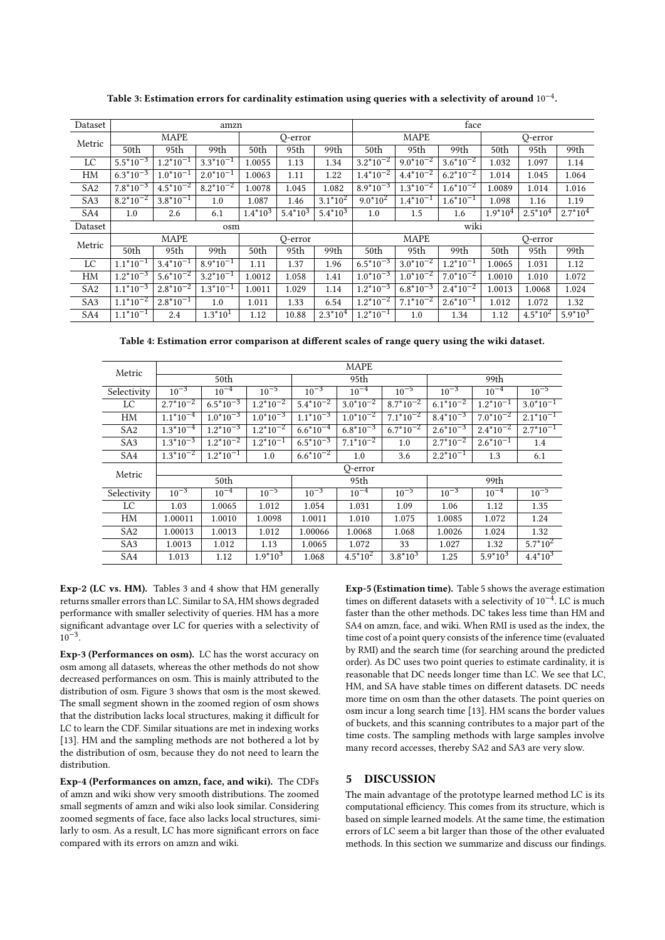<span id="page-3-0"></span>

| Dataset         | amzn                     |                |                |            |            |            | face                        |                          |                |           |              |            |  |
|-----------------|--------------------------|----------------|----------------|------------|------------|------------|-----------------------------|--------------------------|----------------|-----------|--------------|------------|--|
| Metric          | <b>MAPE</b>              |                |                | Q-error    |            |            | <b>MAPE</b>                 |                          |                | O-error   |              |            |  |
|                 | 50th                     | 95th           | 99th           | 50th       | 95th       | 99th       | 50th                        | 95th                     | 99th           | 50th      | 95th         | 99th       |  |
| LC              | $5.5*10^{-3}$            | $1.2^*10^{-1}$ | $3.3*10^{-1}$  | 1.0055     | 1.13       | 1.34       | $3.2^*10^{-2}$              | $9.0*10^{-2}$            | $3.6*10^{-2}$  | 1.032     | 1.097        | 1.14       |  |
| HM              | $6.3*10^{-3}$            | $1.0*10^{-1}$  | $2.0*10^{-1}$  | 1.0063     | 1.11       | 1.22       | $1.4*10^{-2}$               | $4.4*10^{-2}$            | $6.2^*10^{-2}$ | 1.014     | 1.045        | 1.064      |  |
| SA <sub>2</sub> | $7.8*10^{-3}$            | $4.5*10^{-2}$  | $8.2*10^{-2}$  | 1.0078     | 1.045      | 1.082      | $8.9*10^{-3}$               | $1.3*10^{-2}$            | $1.6*10^{-2}$  | 1.0089    | 1.014        | 1.016      |  |
| SA <sub>3</sub> | $8.2*10^{-2}$            | $3.8*10^{-1}$  | 1.0            | 1.087      | 1.46       | $3.1*10^2$ | $9.0*10^2$                  | $1.4*10^{-1}$            | $1.6*10^{-1}$  | 1.098     | 1.16         | 1.19       |  |
| SA4             | 1.0                      | 2.6            | 6.1            | $1.4*10^3$ | $5.4*10^3$ | $5.4*10^3$ | 1.0                         | 1.5                      | 1.6            | $1.9*104$ | $2.5*104$    | $2.7*104$  |  |
| Dataset         | osm                      |                |                |            |            |            |                             | wiki                     |                |           |              |            |  |
| Metric          | <b>MAPE</b>              |                |                | O-error    |            |            | MAPE                        |                          |                | O-error   |              |            |  |
|                 | 50th                     | 95th           | 99th           | 50th       | 95th       | 99th       | 50th                        | 95th                     | 99th           | 50th      | 95th         | 99th       |  |
| LC              | $1.1^*10^{-1}$           | $3.4*10^{-1}$  | $8.9*10^{-1}$  | 1.11       | 1.37       | 1.96       | $6.\overline{5^{*}10^{-3}}$ | $3.0*10^{-2}$            | $1.2^*10^{-1}$ | 1.0065    | 1.031        | 1.12       |  |
| HM              | $1.2*10^{-3}$            | $5.6*10^{-2}$  | $3.2^*10^{-1}$ | 1.0012     | 1.058      | 1.41       | $1.0*10^{-3}$               | $1.0*10^{-2}$            | $7.0*10^{-2}$  | 1.0010    | 1.010        | 1.072      |  |
| SA <sub>2</sub> | $1.\overline{1*10^{-3}}$ | $2.8*10^{-2}$  | $1.3*10^{-1}$  | 1.0011     | 1.029      | 1.14       | $1.2^*10^{-3}$              | $6.\overline{8*10^{-3}}$ | $2.4*10^{-2}$  | 1.0013    | 1.0068       | 1.024      |  |
| SA <sub>3</sub> | $1.1^*10^{-2}$           | $2.8*10^{-1}$  | 1.0            | 1.011      | 1.33       | 6.54       | $1.2*10^{-2}$               | $7.1*10^{-2}$            | $2.6*10^{-1}$  | 1.012     | 1.072        | 1.32       |  |
| SA4             | $1.1*10^{-1}$            | 2.4            | $1.3*101$      | 1.12       | 10.88      | $2.3*104$  | $1.2^*10^{-1}$              | 1.0                      | 1.34           | 1.12      | $4.5*10^{2}$ | $5.9*10^3$ |  |

Table 3: Estimation errors for cardinality estimation using queries with a selectivity of around  $10^{-4}.$ 

Table 4: Estimation error comparison at different scales of range query using the wiki dataset.

<span id="page-3-1"></span>

| Metric          | <b>MAPE</b>   |                |                |               |               |               |                |               |                |  |  |
|-----------------|---------------|----------------|----------------|---------------|---------------|---------------|----------------|---------------|----------------|--|--|
|                 |               | 50th           |                |               | 95th          |               | 99th           |               |                |  |  |
| Selectivity     | $10^{-3}$     | $10^{-4}$      | $10^{-5}$      | $10^{-3}$     | $10^{-4}$     | $10^{-5}$     | $10^{-3}$      | $10^{-4}$     | $10^{-5}$      |  |  |
| LC              | $2.7*10^{-2}$ | $6.5*10^{-3}$  | $1.2^*10^{-2}$ | $5.4*10^{-2}$ | $3.0*10^{-2}$ | $8.7*10^{-2}$ | $6.1^*10^{-2}$ | $1.2*10^{-1}$ | $3.0*10^{-1}$  |  |  |
| HM              | $1.1*10^{-4}$ | $1.0*10^{-3}$  | $1.0*10^{-3}$  | $1.1*10^{-3}$ | $1.0*10^{-2}$ | $7.1*10^{-2}$ | $8.4*10^{-3}$  | $7.0*10^{-2}$ | $2.1^*10^{-1}$ |  |  |
| SA <sub>2</sub> | $1.3*10^{-4}$ | $1.2*10^{-3}$  | $1.2*10^{-2}$  | $6.6*10^{-4}$ | $6.8*10^{-3}$ | $6.7*10^{-2}$ | $2.6*10^{-3}$  | $2.4*10^{-2}$ | $2.7*10^{-1}$  |  |  |
| SA <sub>3</sub> | $1.3*10^{-3}$ | $1.2^*10^{-2}$ | $1.2^*10^{-1}$ | $6.5*10^{-3}$ | $7.1*10^{-2}$ | 1.0           | $2.7*10^{-2}$  | $2.6*10^{-1}$ | 1.4            |  |  |
| SA <sub>4</sub> | $1.3*10^{-2}$ | $1.2^*10^{-1}$ | 1.0            | $6.6*10^{-2}$ | 1.0           | 3.6           | $2.2^*10^{-1}$ | 1.3           | 6.1            |  |  |
| Metric          | Q-error       |                |                |               |               |               |                |               |                |  |  |
|                 |               | 50th           |                |               | 95th          |               | 99th           |               |                |  |  |
| Selectivity     | $10^{-3}$     | $10^{-4}$      | $10^{-5}$      | $10^{-3}$     | $10^{-4}$     | $10^{-5}$     | $10^{-3}$      | $10^{-4}$     | $10^{-5}$      |  |  |
| LC              | 1.03          | 1.0065         | 1.012          | 1.054         | 1.031         | 1.09          | 1.06           | 1.12          | 1.35           |  |  |
| HM              | 1.00011       | 1.0010         | 1.0098         | 1.0011        | 1.010         | 1.075         | 1.0085         | 1.072         | 1.24           |  |  |
| SA <sub>2</sub> | 1.00013       | 1.0013         | 1.012          | 1.00066       | 1.0068        | 1.068         | 1.0026         | 1.024         | 1.32           |  |  |
| SA <sub>3</sub> | 1.0013        | 1.012          | 1.13           | 1.0065        | 1.072         | 33            | 1.027          | 1.32          | $5.7*10^2$     |  |  |
| SA4             | 1.013         | 1.12           | $1.9*103$      | 1.068         | $4.5*10^2$    | $3.8*10^3$    | 1.25           | $5.9*10^3$    | $4.4*10^{3}$   |  |  |

Exp-2 (LC vs. HM). Tables [3](#page-3-0) and [4](#page-3-1) show that HM generally returns smaller errors than LC. Similar to SA, HM shows degraded performance with smaller selectivity of queries. HM has a more significant advantage over LC for queries with a selectivity of  $10^{-3}$ .

Exp-3 (Performances on osm). LC has the worst accuracy on osm among all datasets, whereas the other methods do not show decreased performances on osm. This is mainly attributed to the distribution of osm. Figure [3](#page-2-0) shows that osm is the most skewed. The small segment shown in the zoomed region of osm shows that the distribution lacks local structures, making it difficult for LC to learn the CDF. Similar situations are met in indexing works [\[13\]](#page-4-4). HM and the sampling methods are not bothered a lot by the distribution of osm, because they do not need to learn the distribution.

Exp-4 (Performances on amzn, face, and wiki). The CDFs of amzn and wiki show very smooth distributions. The zoomed small segments of amzn and wiki also look similar. Considering zoomed segments of face, face also lacks local structures, similarly to osm. As a result, LC has more significant errors on face compared with its errors on amzn and wiki.

Exp-5 (Estimation time). Table [5](#page-4-9) shows the average estimation times on different datasets with a selectivity of  $10^{-4}$ . LC is much faster than the other methods. DC takes less time than HM and SA4 on amzn, face, and wiki. When RMI is used as the index, the time cost of a point query consists of the inference time (evaluated by RMI) and the search time (for searching around the predicted order). As DC uses two point queries to estimate cardinality, it is reasonable that DC needs longer time than LC. We see that LC, HM, and SA have stable times on different datasets. DC needs more time on osm than the other datasets. The point queries on osm incur a long search time [\[13\]](#page-4-4). HM scans the border values of buckets, and this scanning contributes to a major part of the time costs. The sampling methods with large samples involve many record accesses, thereby SA2 and SA3 are very slow.

# 5 DISCUSSION

The main advantage of the prototype learned method LC is its computational efficiency. This comes from its structure, which is based on simple learned models. At the same time, the estimation errors of LC seem a bit larger than those of the other evaluated methods. In this section we summarize and discuss our findings.